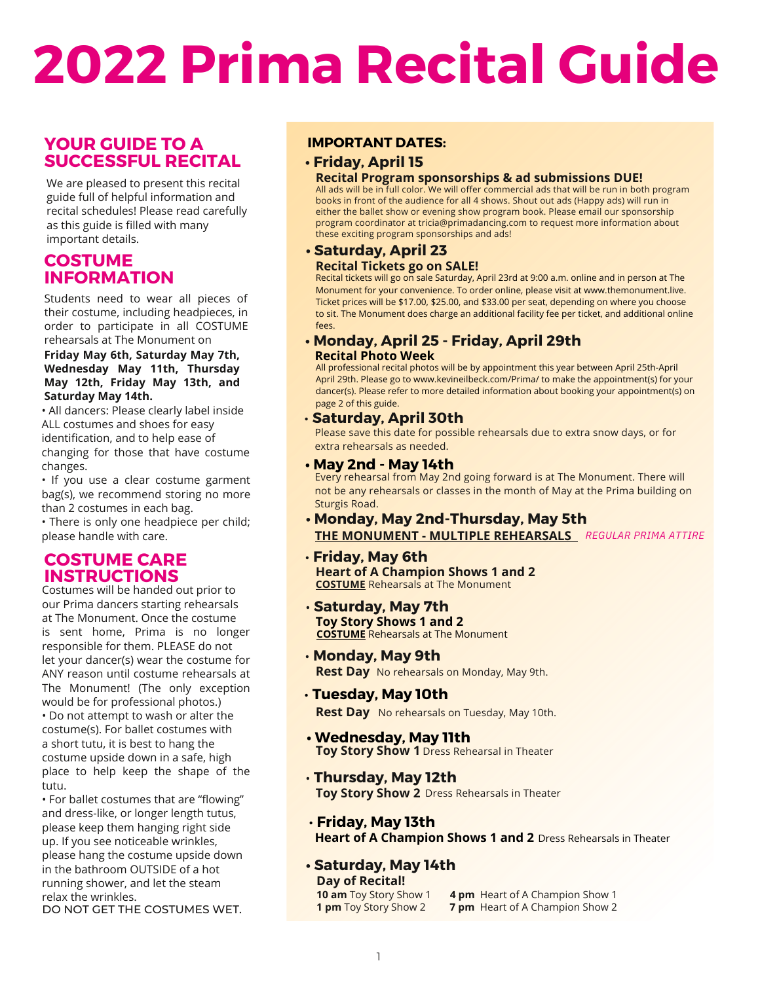# **2022 Prima Recital Guide**

# **YOUR GUIDE TO A SUCCESSFUL RECITAL**

We are pleased to present this recital guide full of helpful information and recital schedules! Please read carefully as this guide is filled with many important details.

## **COSTUME INFORMATION**

Students need to wear all pieces of their costume, including headpieces, in order to participate in all COSTUME rehearsals at The Monument on

#### **Friday May 6th, Saturday May 7th, Wednesday May 11th, Thursday May 12th, Friday May 13th, and Saturday May 14th.**

• All dancers: Please clearly label inside ALL costumes and shoes for easy identification, and to help ease of changing for those that have costume changes.

• If you use a clear costume garment bag(s), we recommend storing no more than 2 costumes in each bag.

• There is only one headpiece per child; please handle with care.

# **COSTUME CARE INSTRUCTIONS**

Costumes will be handed out prior to our Prima dancers starting rehearsals at The Monument. Once the costume is sent home, Prima is no longer responsible for them. PLEASE do not let your dancer(s) wear the costume for ANY reason until costume rehearsals at The Monument! (The only exception would be for professional photos.) • Do not attempt to wash or alter the costume(s). For ballet costumes with a short tutu, it is best to hang the costume upside down in a safe, high place to help keep the shape of the tutu.

• For ballet costumes that are "flowing" and dress-like, or longer length tutus, please keep them hanging right side up. If you see noticeable wrinkles, please hang the costume upside down in the bathroom OUTSIDE of a hot running shower, and let the steam relax the wrinkles.

DO NOT GET THE COSTUMES WET.

#### **IMPORTANT DATES:**

## **• Friday, April 15**

#### **Recital Program sponsorships & ad submissions DUE!**

All ads will be in full color. We will offer commercial ads that will be run in both program books in front of the audience for all 4 shows. Shout out ads (Happy ads) will run in either the ballet show or evening show program book. Please email our sponsorship program coordinator at tricia@primadancing.com to request more information about these exciting program sponsorships and ads!

# **• Saturday, April 23**

#### **Recital Tickets go on SALE!**

Recital tickets will go on sale Saturday, April 23rd at 9:00 a.m. online and in person at The Monument for your convenience. To order online, please visit at www.themonument.live. Ticket prices will be \$17.00, \$25.00, and \$33.00 per seat, depending on where you choose to sit. The Monument does charge an additional facility fee per ticket, and additional online fees.

#### **• Monday, April 25 - Friday, April 29th Recital Photo Week**

All professional recital photos will be by appointment this year between April 25th-April April 29th. Please go to www.kevineilbeck.com/Prima/ to make the appointment(s) for your dancer(s). Please refer to more detailed information about booking your appointment(s) on page 2 of this guide.

#### • **Saturday, April 30th**

Please save this date for possible rehearsals due to extra snow days, or for extra rehearsals as needed.

#### **• May 2nd - May 14th**

Every rehearsal from May 2nd going forward is at The Monument. There will not be any rehearsals or classes in the month of May at the Prima building on Sturgis Road.

- **• Monday, May 2nd-Thursday, May 5th THE MONUMENT - MULTIPLE REHEARSALS** *REGULAR PRIMA ATTIRE*
- **Friday, May 6th COSTUME** Rehearsals at The Monument **Heart of A Champion Shows 1 and 2**
- **Saturday, May 7th COSTUME** Rehearsals at The Monument **Toy Story Shows 1 and 2**
- **Monday, May 9th** Rest Day No rehearsals on Monday, May 9th.
- **Tuesday, May 10th**

**Rest Day** No rehearsals on Tuesday, May 10th.

- **Toy Story Show 1** Dress Rehearsal in Theater **• Wednesday, May 11th**
- **Thursday, May 12th Toy Story Show 2** Dress Rehearsals in Theater
- **Friday, May 13th Heart of A Champion Shows 1 and 2** Dress Rehearsals in Theater

#### **• Saturday, May 14th Day of Recital!**

**10 am** Toy Story Show 1 **4 pm** Heart of A Champion Show 1 **1 pm** Toy Story Show 2 **7 pm** Heart of A Champion Show 2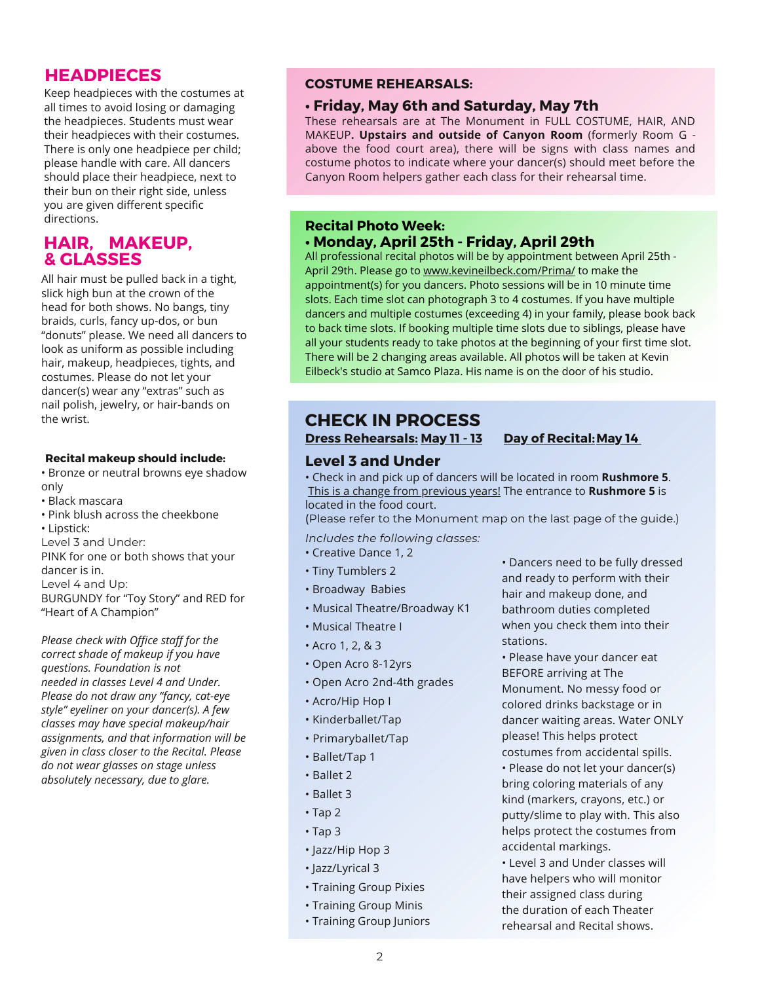# **HEADPIECES**

Keep headpieces with the costumes at all times to avoid losing or damaging the headpieces. Students must wear their headpieces with their costumes. There is only one headpiece per child; please handle with care. All dancers should place their headpiece, next to their bun on their right side, unless you are given different specific directions.

# **HAIR, MAKEUP, & GLASSES**

All hair must be pulled back in a tight, slick high bun at the crown of the head for both shows. No bangs, tiny braids, curls, fancy up-dos, or bun "donuts" please. We need all dancers to look as uniform as possible including hair, makeup, headpieces, tights, and costumes. Please do not let your dancer(s) wear any "extras" such as nail polish, jewelry, or hair-bands on the wrist.

#### **Recital makeup should include:**

• Bronze or neutral browns eye shadow only

- Black mascara
- Pink blush across the cheekbone
- Lipstick:
- Level 3 and Under:

PINK for one or both shows that your dancer is in. Level 4 and Up: BURGUNDY for "Toy Story" and RED for

"Heart of A Champion"

*Please check with Office staff for the correct shade of makeup if you have questions. Foundation is not needed in classes Level 4 and Under. Please do not draw any "fancy, cat-eye style" eyeliner on your dancer(s). A few classes may have special makeup/hair assignments, and that information will be given in class closer to the Recital. Please do not wear glasses on stage unless absolutely necessary, due to glare.*

#### **COSTUME REHEARSALS:**

#### **• Friday, May 6th and Saturday, May 7th**

These rehearsals are at The Monument in FULL COSTUME, HAIR, AND MAKEUP**. Upstairs and outside of Canyon Room** (formerly Room G above the food court area), there will be signs with class names and costume photos to indicate where your dancer(s) should meet before the Canyon Room helpers gather each class for their rehearsal time.

#### **Recital Photo Week: • Monday, April 25th - Friday, April 29th**

All professional recital photos will be by appointment between April 25th - April 29th. Please go to www.kevineilbeck.com/Prima/ to make the appointment(s) for you dancers. Photo sessions will be in 10 minute time slots. Each time slot can photograph 3 to 4 costumes. If you have multiple dancers and multiple costumes (exceeding 4) in your family, please book back to back time slots. If booking multiple time slots due to siblings, please have all your students ready to take photos at the beginning of your first time slot. There will be 2 changing areas available. All photos will be taken at Kevin Eilbeck's studio at Samco Plaza. His name is on the door of his studio.

# **CHECK IN PROCESS**

#### **Dress Rehearsals: May 11 - 13 Day of Recital:May 14**

### **Level 3 and Under**

• Check in and pick up of dancers will be located in room **Rushmore 5**. This is a change from previous years! The entrance to **Rushmore 5** is located in the food court.

(Please refer to the Monument map on the last page of the guide.)

*Includes the following classes:*

- Creative Dance 1, 2
- Tiny Tumblers 2
- Broadway Babies
- Musical Theatre/Broadway K1
- Musical Theatre I
- Acro 1, 2, & 3
- Open Acro 8-12yrs
- Open Acro 2nd-4th grades
- Acro/Hip Hop I
- Kinderballet/Tap
- Primaryballet/Tap
- Ballet/Tap 1
- Ballet 2
- Ballet 3
- Tap 2
- Tap 3
- Jazz/Hip Hop 3
- Jazz/Lyrical 3
- Training Group Pixies
- Training Group Minis
- Training Group Juniors

• Dancers need to be fully dressed and ready to perform with their hair and makeup done, and bathroom duties completed when you check them into their stations.

• Please have your dancer eat BEFORE arriving at The Monument. No messy food or colored drinks backstage or in dancer waiting areas. Water ONLY please! This helps protect

costumes from accidental spills. • Please do not let your dancer(s) bring coloring materials of any kind (markers, crayons, etc.) or putty/slime to play with. This also helps protect the costumes from accidental markings.

• Level 3 and Under classes will have helpers who will monitor their assigned class during the duration of each Theater rehearsal and Recital shows.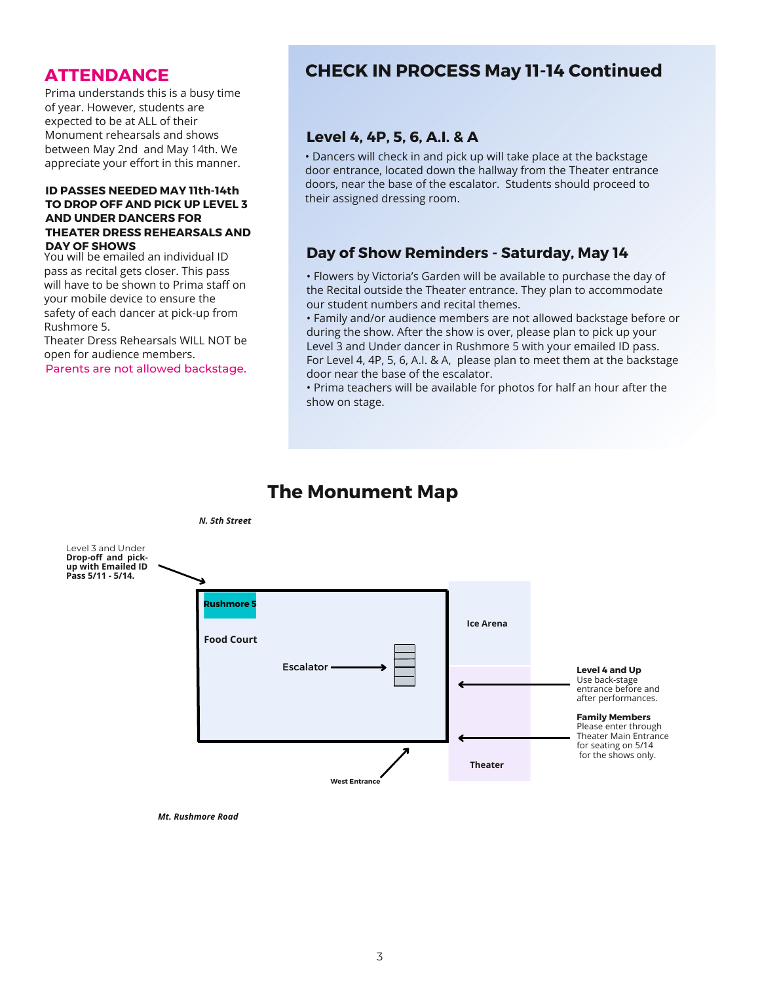# **ATTENDANCE**

Prima understands this is a busy time of year. However, students are expected to be at ALL of their Monument rehearsals and shows between May 2nd and May 14th. We appreciate your effort in this manner.

#### **ID PASSES NEEDED MAY 11th-14th TO DROP OFF AND PICK UP LEVEL 3 AND UNDER DANCERS FOR THEATER DRESS REHEARSALS AND DAY OF SHOWS**

You will be emailed an individual ID pass as recital gets closer. This pass will have to be shown to Prima staff on your mobile device to ensure the safety of each dancer at pick-up from Rushmore 5.

Theater Dress Rehearsals WILL NOT be open for audience members.

Parents are not allowed backstage.

# **CHECK IN PROCESS May 11-14 Continued**

#### **Level 4, 4P, 5, 6, A.I. & A**

• Dancers will check in and pick up will take place at the backstage door entrance, located down the hallway from the Theater entrance doors, near the base of the escalator. Students should proceed to their assigned dressing room.

#### **Day of Show Reminders - Saturday, May 14**

• Flowers by Victoria's Garden will be available to purchase the day of the Recital outside the Theater entrance. They plan to accommodate our student numbers and recital themes.

• Family and/or audience members are not allowed backstage before or during the show. After the show is over, please plan to pick up your Level 3 and Under dancer in Rushmore 5 with your emailed ID pass. For Level 4, 4P, 5, 6, A.I. & A, please plan to meet them at the backstage door near the base of the escalator.

• Prima teachers will be available for photos for half an hour after the show on stage.

# **The Monument Map**



*Mt. Rushmore Road*